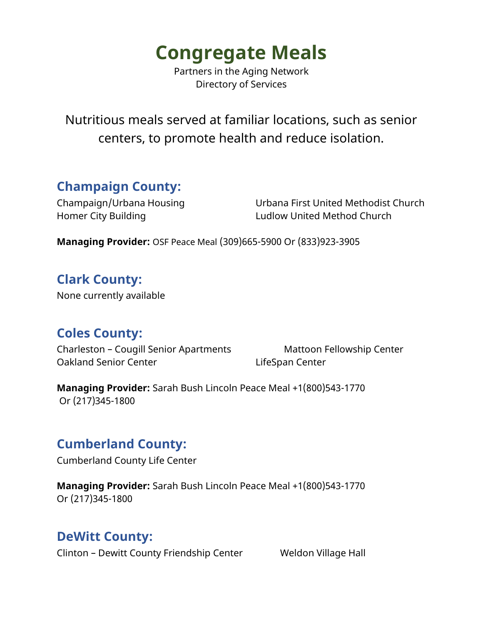Partners in the Aging Network Directory of Services

Nutritious meals served at familiar locations, such as senior centers, to promote health and reduce isolation.

## **Champaign County:**

Champaign/Urbana Housing Urbana First United Methodist Church Homer City Building Ludlow United Method Church

**Managing Provider:** OSF Peace Meal (309)665-5900 Or (833)923-3905

# **Clark County:**

None currently available

#### **Coles County:**

Charleston – Cougill Senior Apartments Mattoon Fellowship Center Oakland Senior Center LifeSpan Center

**Managing Provider:** Sarah Bush Lincoln Peace Meal +1(800)543-1770 Or (217)345-1800

#### **Cumberland County:**

Cumberland County Life Center

**Managing Provider:** Sarah Bush Lincoln Peace Meal +1(800)543-1770 Or (217)345-1800

#### **DeWitt County:**

Clinton – Dewitt County Friendship Center Weldon Village Hall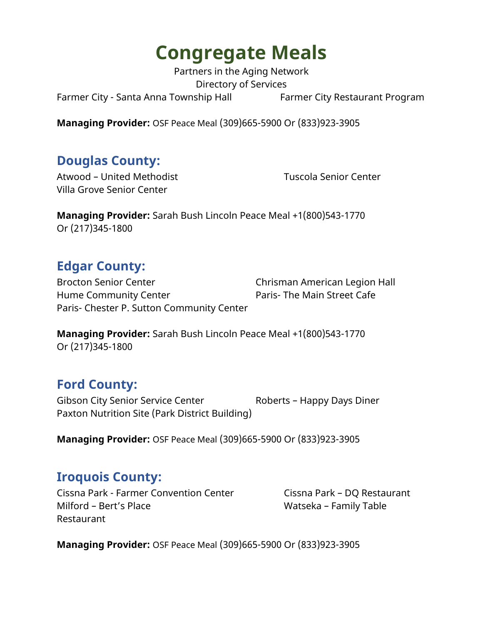Partners in the Aging Network Directory of Services Farmer City - Santa Anna Township Hall Farmer City Restaurant Program

**Managing Provider:** OSF Peace Meal (309)665-5900 Or (833)923-3905

## **Douglas County:**

Atwood – United Methodist Tuscola Senior Center Villa Grove Senior Center

**Managing Provider:** Sarah Bush Lincoln Peace Meal +1(800)543-1770 Or (217)345-1800

## **Edgar County:**

Brocton Senior Center **Chrisman American Legion Hall** Hume Community Center **Paris- The Main Street Cafe** Paris- Chester P. Sutton Community Center

**Managing Provider:** Sarah Bush Lincoln Peace Meal +1(800)543-1770 Or (217)345-1800

#### **Ford County:**

Gibson City Senior Service Center Roberts - Happy Days Diner Paxton Nutrition Site (Park District Building)

**Managing Provider:** OSF Peace Meal (309)665-5900 Or (833)923-3905

## **Iroquois County:**

Cissna Park - Farmer Convention Center Cissna Park - DQ Restaurant Milford – Bert's Place Watseka – Family Table Restaurant

**Managing Provider:** OSF Peace Meal (309)665-5900 Or (833)923-3905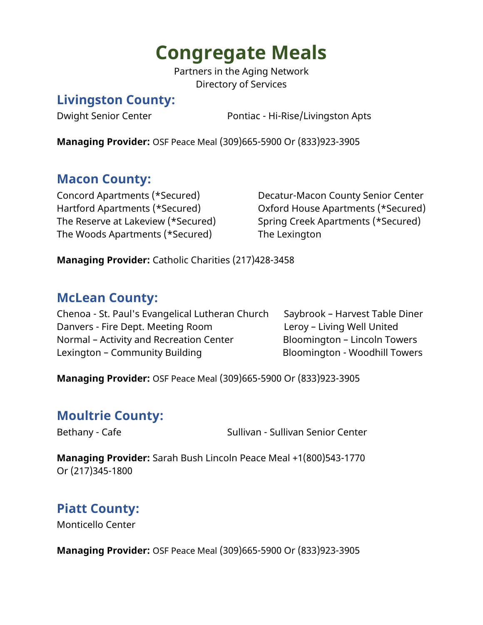Partners in the Aging Network Directory of Services

#### **Livingston County:**

Dwight Senior Center **Pontiac - Hi-Rise/Livingston Apts** 

**Managing Provider:** OSF Peace Meal (309)665-5900 Or (833)923-3905

# **Macon County:**

The Woods Apartments (\*Secured) The Lexington

Concord Apartments (\*Secured) Decatur-Macon County Senior Center Hartford Apartments (\*Secured) Oxford House Apartments (\*Secured) The Reserve at Lakeview (\*Secured) Spring Creek Apartments (\*Secured)

**Managing Provider:** Catholic Charities (217)428-3458

## **McLean County:**

Chenoa - St. Paul's Evangelical Lutheran Church Saybrook – Harvest Table Diner Danvers - Fire Dept. Meeting Room Leroy – Living Well United Normal – Activity and Recreation Center Bloomington – Lincoln Towers Lexington – Community Building **Bloomington - Woodhill Towers** 

**Managing Provider:** OSF Peace Meal (309)665-5900 Or (833)923-3905

## **Moultrie County:**

Bethany - Cafe Sullivan - Sullivan - Sullivan Senior Center

**Managing Provider:** Sarah Bush Lincoln Peace Meal +1(800)543-1770 Or (217)345-1800

## **Piatt County:**

Monticello Center

**Managing Provider:** OSF Peace Meal (309)665-5900 Or (833)923-3905